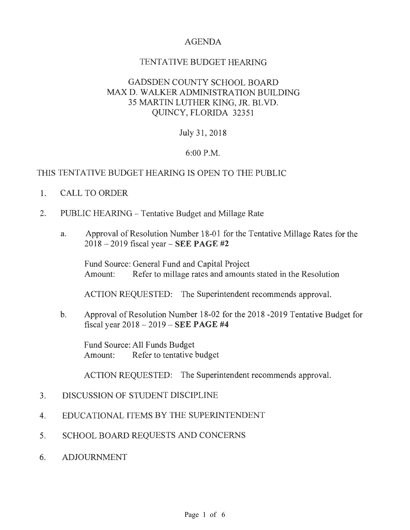# AGENDA

# TENTATIVE BUDGET HEARING

# GADSDEN COUNTY SCHOOL BOARD MAX D. WALKER ADMINISTRATION BUILDING 35 MARTIN LUTHER KING, JR. BLVD. QUINCY, FLORIDA 32351

## July 31, 2018

## 6:00 P.M.

## THIS TENTATIVE BUDGET HEARING IS OPEN TO THE PUBLIC

- 1. CALL TO ORDER
- 2. PUBLIC HEARING Tentative Budget and Millage Rate
	- a. Approval of Resolution Number 18-01 for the Tentative Millage Rates for the 2018 - 2019 fiscal year- SEE PAGE #2

Fund Source: General Fund and Capital Project Amount: Refer to millage rates and amounts stated in the Resolution

ACTION REQUESTED: The Superintendent recommends approval.

b. Approval of Resolution Number 18-02 for the 2018 -2019 Tentative Budget for fiscal year 2018 - 2019 - SEE PAGE #4

Fund Source: All Funds Budget Amount: Refer to tentative budget

ACTION REQUESTED: The Superintendent recommends approval.

- 3. DISCUSSION OF STUDENT DISCIPLINE
- 4. EDUCATIONAL ITEMS BY THE SUPERINTENDENT
- 5. SCHOOL BOARD REQUESTS AND CONCERNS
- 6. ADJOURNMENT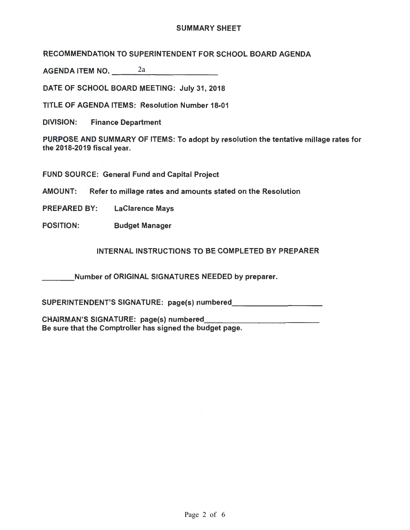#### SUMMARY SHEET

RECOMMENDATION TO SUPERINTENDENT FOR SCHOOL BOARD AGENDA

AGENDA ITEM NO.---------- 2a

DATE OF SCHOOL BOARD MEETING: July 31, 2018

TITLE OF AGENDA ITEMS: Resolution Number 18-01

DIVISION: Finance Department

PURPOSE AND SUMMARY OF ITEMS: To adopt by resolution the tentative millage rates for the 2018-2019 fiscal year.

FUND SOURCE: General Fund and Capital Project

AMOUNT: Refer to millage rates and amounts stated on the Resolution

PREPARED BY: LaClarence Mays

POSITION: Budget Manager

INTERNAL INSTRUCTIONS TO BE COMPLETED BY PREPARER

Number of ORIGINAL SIGNATURES NEEDED by preparer.

SUPERINTENDENT'S SIGNATURE: page(s) numbered \_\_\_\_\_\_\_\_ \_

CHAIRMAN'S SIGNATURE: page(s) numbered Be sure that the Comptroller has signed the budget page.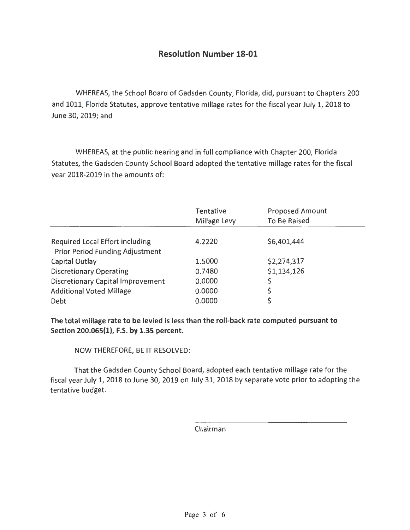# **Resolution Number 18-01**

WHEREAS, the School Board of Gadsden County, Florida, did, pursuant to Chapters 200 and 1011, Florida Statutes, approve tentative millage rates for the fiscal year July 1, 2018 to June *30,* 2019; and

WHEREAS, at the public hearing and in full compliance with Chapter *200,* Florida Statutes, the Gadsden County School Board adopted the tentative millage rates for the fiscal year 2018-2019 in the amounts of:

|                                          | Tentative<br>Millage Levy | <b>Proposed Amount</b><br>To Be Raised |
|------------------------------------------|---------------------------|----------------------------------------|
| <b>Required Local Effort including</b>   | 4.2220                    | \$6,401,444                            |
| <b>Prior Period Funding Adjustment</b>   |                           |                                        |
| Capital Outlay                           | 1.5000                    | \$2,274,317                            |
| <b>Discretionary Operating</b>           | 0.7480                    | \$1,134,126                            |
| <b>Discretionary Capital Improvement</b> | 0.0000                    |                                        |
| <b>Additional Voted Millage</b>          | 0.0000                    | \$                                     |
| Debt                                     | 0.0000                    | \$                                     |

**The total millage rate to be levied is less than the roll-back rate computed pursuant to Section 200.065{1), F.S. by 1.35 percent.** 

NOW THEREFORE, BE IT RESOLVED:

That the Gadsden County School Board, adopted each tentative millage rate for the fiscal year July 1, 2018 to June *30,* 2019 on July 31, 2018 by separate vote prior to adopting the tentative budget.

Chairman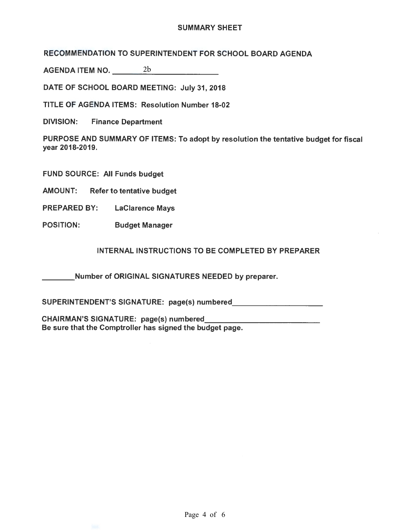#### SUMMARY SHEET

RECOMMENDATION TO SUPERINTENDENT FOR SCHOOL BOARD AGENDA

AGENDA ITEM NO.---------- 2b

DATE OF SCHOOL BOARD MEETING: July 31, 2018

TITLE OF AGENDA ITEMS: Resolution Number 18-02

DIVISION: Finance Department

PURPOSE AND SUMMARY OF ITEMS: To adopt by resolution the tentative budget for fiscal year 2018-2019.

FUND SOURCE: All Funds budget

AMOUNT: Refer to tentative budget

PREPARED BY: LaClarence Mays

POSITION: Budget Manager

INTERNAL INSTRUCTIONS TO BE COMPLETED BY PREPARER

Number of ORIGINAL SIGNATURES NEEDED by preparer.

SUPERINTENDENT'S SIGNATURE: page(s) numbered

CHAIRMAN'S SIGNATURE: page(s) numbered Be sure that the Comptroller has signed the budget page.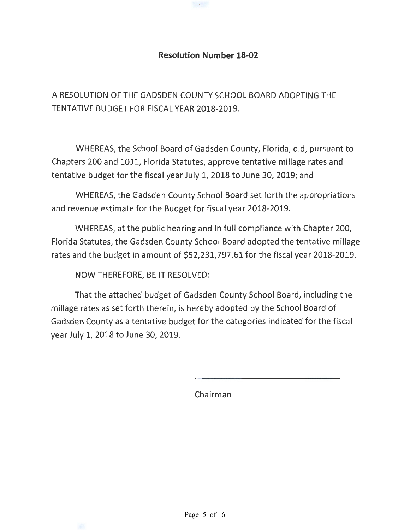## **Resolution Number 18-02**

1994年

A RESOLUTION OF THE GADSDEN COUNTY SCHOOL BOARD ADOPTING THE TENTATIVE BUDGET FOR FISCAL YEAR 2018-2019.

WHEREAS, the School Board of Gadsden County, Florida, did, pursuant to Chapters 200 and 1011, Florida Statutes, approve tentative millage rates and tentative budget for the fiscal year July 1, 2018 to June 30, 2019; and

WHEREAS, the Gadsden County School Board set forth the appropriations and revenue estimate for the Budget for fiscal year 2018-2019.

WHEREAS, at the public hearing and in full compliance with Chapter 200, Florida Statutes, the Gadsden County School Board adopted the tentative millage rates and the budget in amount of \$52,231,797.61 for the fiscal year 2018-2019.

NOW THEREFORE, BE IT RESOLVED:

That the attached budget of Gadsden County School Board, including the millage rates as set forth therein, is hereby adopted by the School Board of Gadsden County as a tentative budget for the categories indicated for the fiscal year July 1, 2018 to June 30, 2019.

Chairman